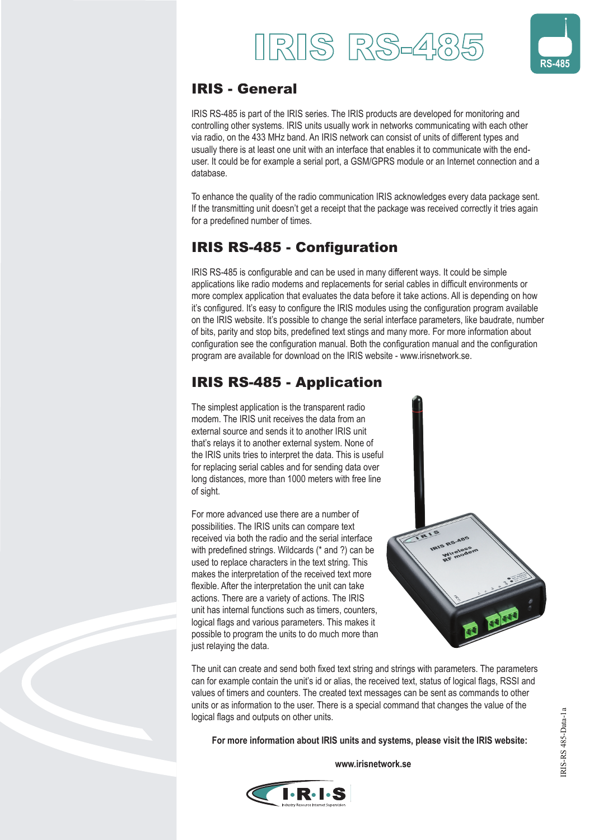



## IRIS - General

IRIS RS-485 is part of the IRIS series. The IRIS products are developed for monitoring and controlling other systems. IRIS units usually work in networks communicating with each other via radio, on the 433 MHz band. An IRIS network can consist of units of different types and usually there is at least one unit with an interface that enables it to communicate with the enduser. It could be for example a serial port, a GSM/GPRS module or an Internet connection and a database.

To enhance the quality of the radio communication IRIS acknowledges every data package sent. If the transmitting unit doesn't get a receipt that the package was received correctly it tries again for a predefined number of times.

# **IRIS RS-485 - Configuration**

IRIS RS-485 is configurable and can be used in many different ways. It could be simple applications like radio modems and replacements for serial cables in difficult environments or more complex application that evaluates the data before it take actions. All is depending on how it's configured. It's easy to configure the IRIS modules using the configuration program available on the IRIS website. It's possible to change the serial interface parameters, like baudrate, number of bits, parity and stop bits, predefined text stings and many more. For more information about configuration see the configuration manual. Both the configuration manual and the configuration program are available for download on the IRIS website - www.irisnetwork.se.

## IRIS RS-485 - Application

The simplest application is the transparent radio modem. The IRIS unit receives the data from an external source and sends it to another IRIS unit that's relays it to another external system. None of the IRIS units tries to interpret the data. This is useful for replacing serial cables and for sending data over long distances, more than 1000 meters with free line of sight.

For more advanced use there are a number of possibilities. The IRIS units can compare text received via both the radio and the serial interface with predefined strings. Wildcards (\* and ?) can be used to replace characters in the text string. This makes the interpretation of the received text more flexible. After the interpretation the unit can take actions. There are a variety of actions. The IRIS unit has internal functions such as timers, counters, logical flags and various parameters. This makes it possible to program the units to do much more than just relaying the data.



The unit can create and send both fixed text string and strings with parameters. The parameters can for example contain the unit's id or alias, the received text, status of logical flags, RSSI and values of timers and counters. The created text messages can be sent as commands to other units or as information to the user. There is a special command that changes the value of the logical flags and outputs on other units.

 **For more information about IRIS units and systems, please visit the IRIS website:**

 **www.irisnetwork.se**



IRIS-RS 485-Data-1a

RIS-RS 485-Data-1a